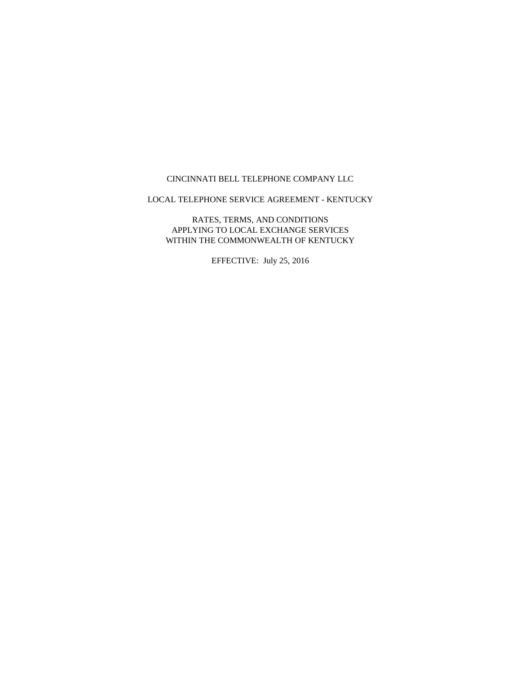#### CINCINNATI BELL TELEPHONE COMPANY LLC

LOCAL TELEPHONE SERVICE AGREEMENT - KENTUCKY

RATES, TERMS, AND CONDITIONS APPLYING TO LOCAL EXCHANGE SERVICES WITHIN THE COMMONWEALTH OF KENTUCKY

EFFECTIVE: July 25, 2016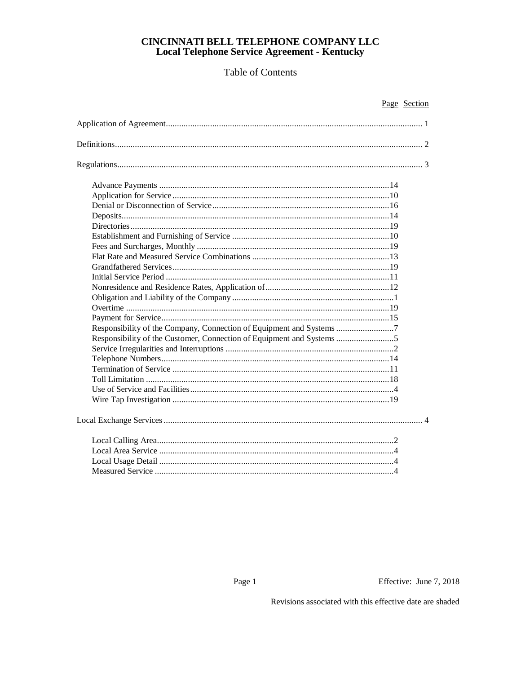# Table of Contents

| Responsibility of the Company, Connection of Equipment and Systems  |
|---------------------------------------------------------------------|
| Responsibility of the Customer, Connection of Equipment and Systems |
|                                                                     |
|                                                                     |
|                                                                     |
|                                                                     |
|                                                                     |
|                                                                     |
|                                                                     |
|                                                                     |
|                                                                     |
|                                                                     |
|                                                                     |

Page 1

Page Section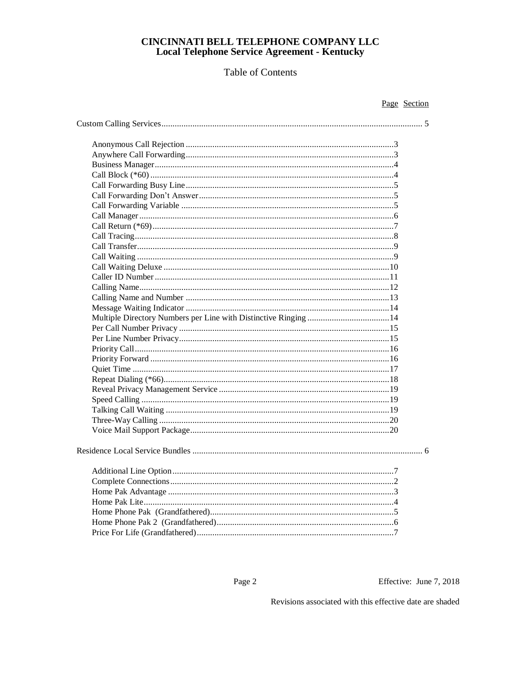# Table of Contents

Effective: June 7, 2018

Page Section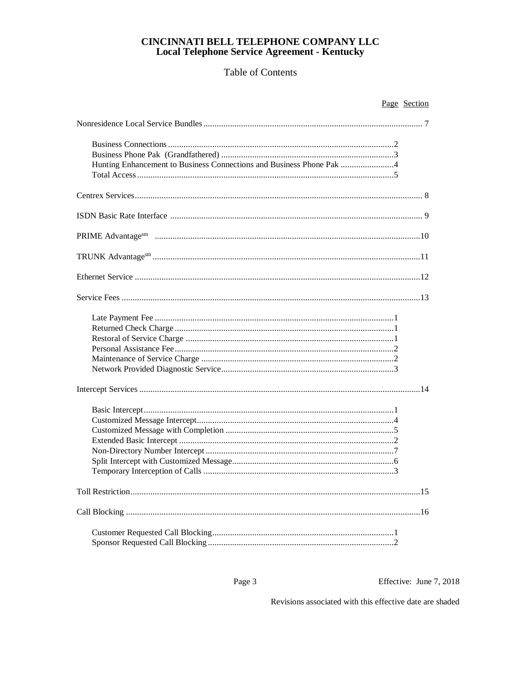# Table of Contents

| Page Section                                                         |
|----------------------------------------------------------------------|
|                                                                      |
| Hunting Enhancement to Business Connections and Business Phone Pak 4 |
|                                                                      |
|                                                                      |
|                                                                      |
|                                                                      |
|                                                                      |
|                                                                      |
|                                                                      |
|                                                                      |
|                                                                      |
|                                                                      |
|                                                                      |
|                                                                      |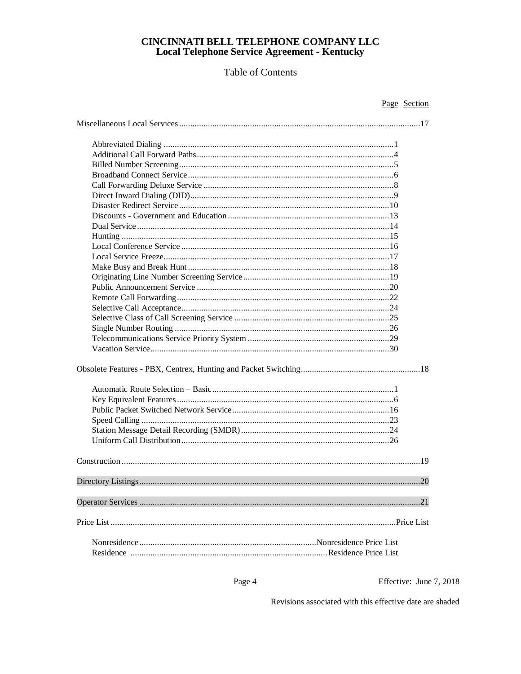# Table of Contents

Effective: June 7, 2018

Page Section